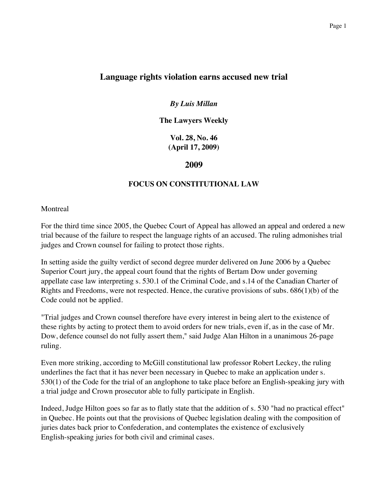# **Language rights violation earns accused new trial**

## *By Luis Millan*

**The Lawyers Weekly**

**Vol. 28, No. 46 (April 17, 2009)**

### **2009**

### **FOCUS ON CONSTITUTIONAL LAW**

#### **Montreal**

For the third time since 2005, the Quebec Court of Appeal has allowed an appeal and ordered a new trial because of the failure to respect the language rights of an accused. The ruling admonishes trial judges and Crown counsel for failing to protect those rights.

In setting aside the guilty verdict of second degree murder delivered on June 2006 by a Quebec Superior Court jury, the appeal court found that the rights of Bertam Dow under governing appellate case law interpreting s. 530.1 of the Criminal Code, and s.14 of the Canadian Charter of Rights and Freedoms, were not respected. Hence, the curative provisions of subs. 686(1)(b) of the Code could not be applied.

"Trial judges and Crown counsel therefore have every interest in being alert to the existence of these rights by acting to protect them to avoid orders for new trials, even if, as in the case of Mr. Dow, defence counsel do not fully assert them," said Judge Alan Hilton in a unanimous 26-page ruling.

Even more striking, according to McGill constitutional law professor Robert Leckey, the ruling underlines the fact that it has never been necessary in Quebec to make an application under s. 530(1) of the Code for the trial of an anglophone to take place before an English-speaking jury with a trial judge and Crown prosecutor able to fully participate in English.

Indeed, Judge Hilton goes so far as to flatly state that the addition of s. 530 "had no practical effect" in Quebec. He points out that the provisions of Quebec legislation dealing with the composition of juries dates back prior to Confederation, and contemplates the existence of exclusively English-speaking juries for both civil and criminal cases.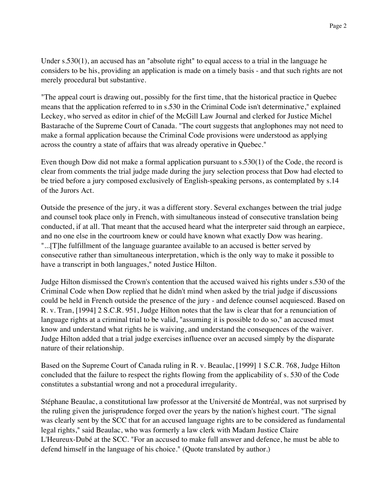Under s.530(1), an accused has an "absolute right" to equal access to a trial in the language he considers to be his, providing an application is made on a timely basis - and that such rights are not merely procedural but substantive.

"The appeal court is drawing out, possibly for the first time, that the historical practice in Quebec means that the application referred to in s.530 in the Criminal Code isn't determinative," explained Leckey, who served as editor in chief of the McGill Law Journal and clerked for Justice Michel Bastarache of the Supreme Court of Canada. "The court suggests that anglophones may not need to make a formal application because the Criminal Code provisions were understood as applying across the country a state of affairs that was already operative in Quebec."

Even though Dow did not make a formal application pursuant to s.530(1) of the Code, the record is clear from comments the trial judge made during the jury selection process that Dow had elected to be tried before a jury composed exclusively of English-speaking persons, as contemplated by s.14 of the Jurors Act.

Outside the presence of the jury, it was a different story. Several exchanges between the trial judge and counsel took place only in French, with simultaneous instead of consecutive translation being conducted, if at all. That meant that the accused heard what the interpreter said through an earpiece, and no one else in the courtroom knew or could have known what exactly Dow was hearing. "...[T]he fulfillment of the language guarantee available to an accused is better served by consecutive rather than simultaneous interpretation, which is the only way to make it possible to have a transcript in both languages," noted Justice Hilton.

Judge Hilton dismissed the Crown's contention that the accused waived his rights under s.530 of the Criminal Code when Dow replied that he didn't mind when asked by the trial judge if discussions could be held in French outside the presence of the jury - and defence counsel acquiesced. Based on R. v. Tran, [1994] 2 S.C.R. 951, Judge Hilton notes that the law is clear that for a renunciation of language rights at a criminal trial to be valid, "assuming it is possible to do so," an accused must know and understand what rights he is waiving, and understand the consequences of the waiver. Judge Hilton added that a trial judge exercises influence over an accused simply by the disparate nature of their relationship.

Based on the Supreme Court of Canada ruling in R. v. Beaulac, [1999] 1 S.C.R. 768, Judge Hilton concluded that the failure to respect the rights flowing from the applicability of s. 530 of the Code constitutes a substantial wrong and not a procedural irregularity.

Stéphane Beaulac, a constitutional law professor at the Université de Montréal, was not surprised by the ruling given the jurisprudence forged over the years by the nation's highest court. "The signal was clearly sent by the SCC that for an accused language rights are to be considered as fundamental legal rights," said Beaulac, who was formerly a law clerk with Madam Justice Claire L'Heureux-Dubé at the SCC. "For an accused to make full answer and defence, he must be able to defend himself in the language of his choice." (Quote translated by author.)